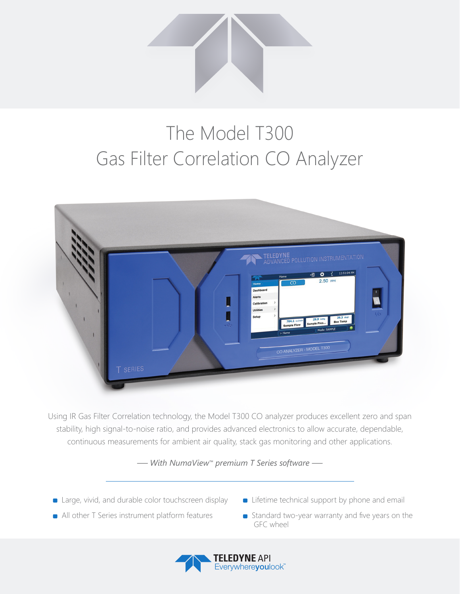

## The Model T300 Gas Filter Correlation CO Analyzer



Using IR Gas Filter Correlation technology, the Model T300 CO analyzer produces excellent zero and span stability, high signal-to-noise ratio, and provides advanced electronics to allow accurate, dependable, continuous measurements for ambient air quality, stack gas monitoring and other applications.

*— With NumaView™ premium T Series software —*

- **E** Large, vivid, and durable color touchscreen display
- **Example 1** Lifetime technical support by phone and email
- All other T Series instrument platform features
- Standard two-year warranty and five years on the GFC wheel